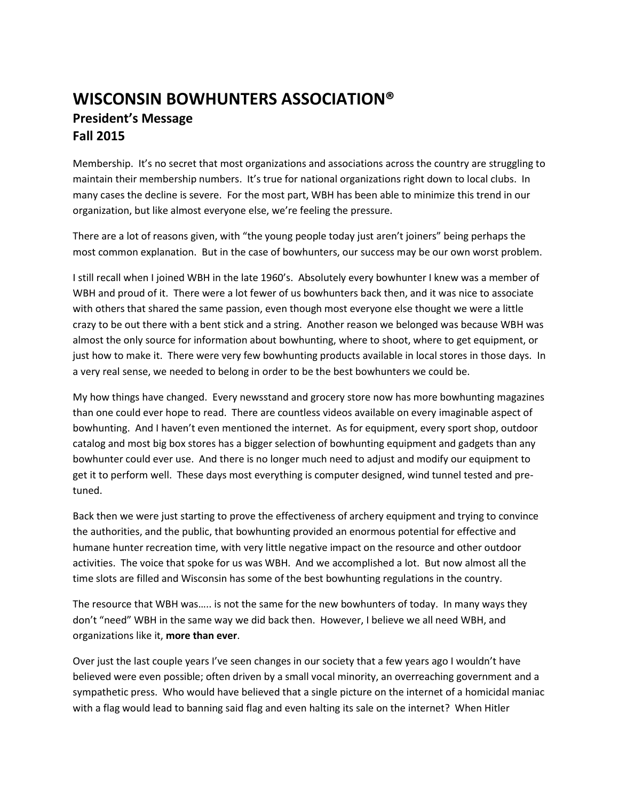## **WISCONSIN BOWHUNTERS ASSOCIATION® President's Message Fall 2015**

Membership. It's no secret that most organizations and associations across the country are struggling to maintain their membership numbers. It's true for national organizations right down to local clubs. In many cases the decline is severe. For the most part, WBH has been able to minimize this trend in our organization, but like almost everyone else, we're feeling the pressure.

There are a lot of reasons given, with "the young people today just aren't joiners" being perhaps the most common explanation. But in the case of bowhunters, our success may be our own worst problem.

I still recall when I joined WBH in the late 1960's. Absolutely every bowhunter I knew was a member of WBH and proud of it. There were a lot fewer of us bowhunters back then, and it was nice to associate with others that shared the same passion, even though most everyone else thought we were a little crazy to be out there with a bent stick and a string. Another reason we belonged was because WBH was almost the only source for information about bowhunting, where to shoot, where to get equipment, or just how to make it. There were very few bowhunting products available in local stores in those days. In a very real sense, we needed to belong in order to be the best bowhunters we could be.

My how things have changed. Every newsstand and grocery store now has more bowhunting magazines than one could ever hope to read. There are countless videos available on every imaginable aspect of bowhunting. And I haven't even mentioned the internet. As for equipment, every sport shop, outdoor catalog and most big box stores has a bigger selection of bowhunting equipment and gadgets than any bowhunter could ever use. And there is no longer much need to adjust and modify our equipment to get it to perform well. These days most everything is computer designed, wind tunnel tested and pretuned.

Back then we were just starting to prove the effectiveness of archery equipment and trying to convince the authorities, and the public, that bowhunting provided an enormous potential for effective and humane hunter recreation time, with very little negative impact on the resource and other outdoor activities. The voice that spoke for us was WBH. And we accomplished a lot. But now almost all the time slots are filled and Wisconsin has some of the best bowhunting regulations in the country.

The resource that WBH was….. is not the same for the new bowhunters of today. In many ways they don't "need" WBH in the same way we did back then. However, I believe we all need WBH, and organizations like it, **more than ever**.

Over just the last couple years I've seen changes in our society that a few years ago I wouldn't have believed were even possible; often driven by a small vocal minority, an overreaching government and a sympathetic press. Who would have believed that a single picture on the internet of a homicidal maniac with a flag would lead to banning said flag and even halting its sale on the internet? When Hitler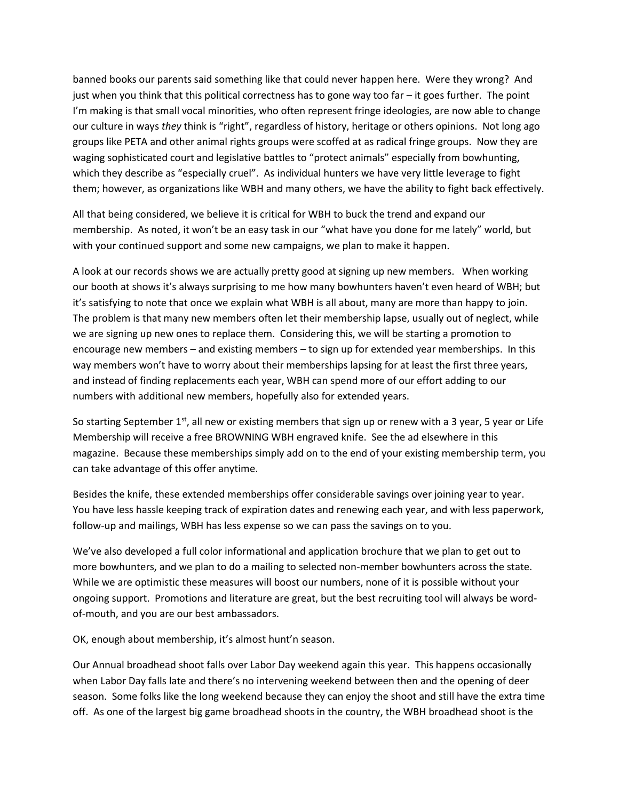banned books our parents said something like that could never happen here. Were they wrong? And just when you think that this political correctness has to gone way too far – it goes further. The point I'm making is that small vocal minorities, who often represent fringe ideologies, are now able to change our culture in ways *they* think is "right", regardless of history, heritage or others opinions. Not long ago groups like PETA and other animal rights groups were scoffed at as radical fringe groups. Now they are waging sophisticated court and legislative battles to "protect animals" especially from bowhunting, which they describe as "especially cruel". As individual hunters we have very little leverage to fight them; however, as organizations like WBH and many others, we have the ability to fight back effectively.

All that being considered, we believe it is critical for WBH to buck the trend and expand our membership. As noted, it won't be an easy task in our "what have you done for me lately" world, but with your continued support and some new campaigns, we plan to make it happen.

A look at our records shows we are actually pretty good at signing up new members. When working our booth at shows it's always surprising to me how many bowhunters haven't even heard of WBH; but it's satisfying to note that once we explain what WBH is all about, many are more than happy to join. The problem is that many new members often let their membership lapse, usually out of neglect, while we are signing up new ones to replace them. Considering this, we will be starting a promotion to encourage new members – and existing members – to sign up for extended year memberships. In this way members won't have to worry about their memberships lapsing for at least the first three years, and instead of finding replacements each year, WBH can spend more of our effort adding to our numbers with additional new members, hopefully also for extended years.

So starting September  $1<sup>st</sup>$ , all new or existing members that sign up or renew with a 3 year, 5 year or Life Membership will receive a free BROWNING WBH engraved knife. See the ad elsewhere in this magazine. Because these memberships simply add on to the end of your existing membership term, you can take advantage of this offer anytime.

Besides the knife, these extended memberships offer considerable savings over joining year to year. You have less hassle keeping track of expiration dates and renewing each year, and with less paperwork, follow-up and mailings, WBH has less expense so we can pass the savings on to you.

We've also developed a full color informational and application brochure that we plan to get out to more bowhunters, and we plan to do a mailing to selected non-member bowhunters across the state. While we are optimistic these measures will boost our numbers, none of it is possible without your ongoing support. Promotions and literature are great, but the best recruiting tool will always be wordof-mouth, and you are our best ambassadors.

OK, enough about membership, it's almost hunt'n season.

Our Annual broadhead shoot falls over Labor Day weekend again this year. This happens occasionally when Labor Day falls late and there's no intervening weekend between then and the opening of deer season. Some folks like the long weekend because they can enjoy the shoot and still have the extra time off. As one of the largest big game broadhead shoots in the country, the WBH broadhead shoot is the